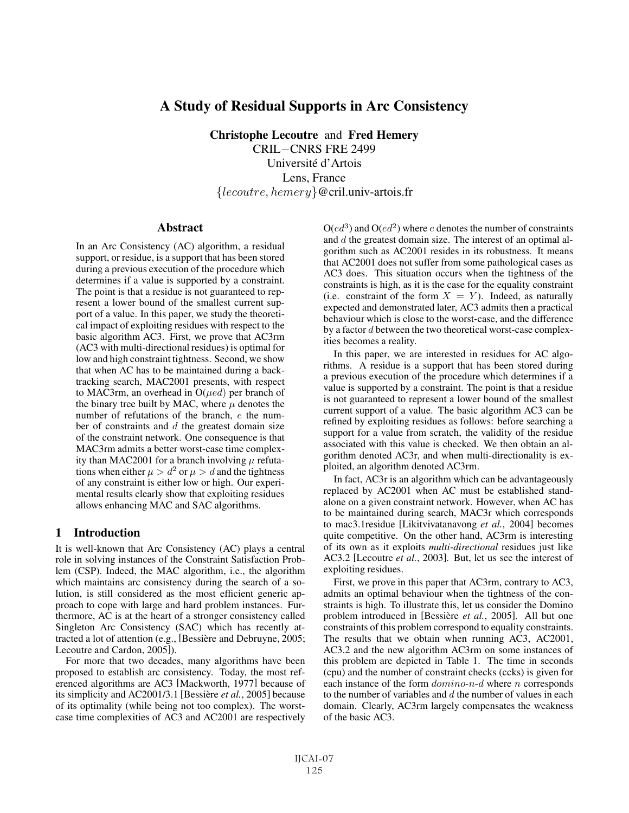# A Study of Residual Supports in Arc Consistency

Christophe Lecoutre and Fred Hemery

CRIL−CNRS FRE 2499 Université d'Artois Lens, France {lecoutre, hemery}@cril.univ-artois.fr

#### **Abstract**

In an Arc Consistency (AC) algorithm, a residual support, or residue, is a support that has been stored during a previous execution of the procedure which determines if a value is supported by a constraint. The point is that a residue is not guaranteed to represent a lower bound of the smallest current support of a value. In this paper, we study the theoretical impact of exploiting residues with respect to the basic algorithm AC3. First, we prove that AC3rm (AC3 with multi-directional residues) is optimal for low and high constraint tightness. Second, we show that when AC has to be maintained during a backtracking search, MAC2001 presents, with respect to MAC3rm, an overhead in  $O(\mu e d)$  per branch of the binary tree built by MAC, where  $\mu$  denotes the number of refutations of the branch, e the number of constraints and  $d$  the greatest domain size of the constraint network. One consequence is that MAC3rm admits a better worst-case time complexity than MAC2001 for a branch involving  $\mu$  refutations when either  $\mu > d^2$  or  $\mu > d$  and the tightness of any constraint is either low or high. Our experimental results clearly show that exploiting residues allows enhancing MAC and SAC algorithms.

## 1 Introduction

It is well-known that Arc Consistency (AC) plays a central role in solving instances of the Constraint Satisfaction Problem (CSP). Indeed, the MAC algorithm, i.e., the algorithm which maintains arc consistency during the search of a solution, is still considered as the most efficient generic approach to cope with large and hard problem instances. Furthermore, AC is at the heart of a stronger consistency called Singleton Arc Consistency (SAC) which has recently attracted a lot of attention (e.g., [Bessière and Debruyne, 2005; Lecoutre and Cardon, 2005]).

For more that two decades, many algorithms have been proposed to establish arc consistency. Today, the most referenced algorithms are AC3 [Mackworth, 1977] because of its simplicity and AC2001/3.1 [Bessière *et al.*, 2005] because of its optimality (while being not too complex). The worstcase time complexities of AC3 and AC2001 are respectively

 $O(ed^3)$  and  $O(ed^2)$  where e denotes the number of constraints and d the greatest domain size. The interest of an optimal algorithm such as AC2001 resides in its robustness. It means that AC2001 does not suffer from some pathological cases as AC3 does. This situation occurs when the tightness of the constraints is high, as it is the case for the equality constraint (i.e. constraint of the form  $X = Y$ ). Indeed, as naturally expected and demonstrated later, AC3 admits then a practical behaviour which is close to the worst-case, and the difference by a factor d between the two theoretical worst-case complexities becomes a reality.

In this paper, we are interested in residues for AC algorithms. A residue is a support that has been stored during a previous execution of the procedure which determines if a value is supported by a constraint. The point is that a residue is not guaranteed to represent a lower bound of the smallest current support of a value. The basic algorithm AC3 can be refined by exploiting residues as follows: before searching a support for a value from scratch, the validity of the residue associated with this value is checked. We then obtain an algorithm denoted AC3r, and when multi-directionality is exploited, an algorithm denoted AC3rm.

In fact, AC3r is an algorithm which can be advantageously replaced by AC2001 when AC must be established standalone on a given constraint network. However, when AC has to be maintained during search, MAC3r which corresponds to mac3.1residue [Likitvivatanavong *et al.*, 2004] becomes quite competitive. On the other hand, AC3rm is interesting of its own as it exploits *multi-directional* residues just like AC3.2 [Lecoutre *et al.*, 2003]. But, let us see the interest of exploiting residues.

First, we prove in this paper that AC3rm, contrary to AC3, admits an optimal behaviour when the tightness of the constraints is high. To illustrate this, let us consider the Domino problem introduced in [Bessière et al., 2005]. All but one constraints of this problem correspond to equality constraints. The results that we obtain when running AC3, AC2001, AC3.2 and the new algorithm AC3rm on some instances of this problem are depicted in Table 1. The time in seconds (cpu) and the number of constraint checks (ccks) is given for each instance of the form domino-n-d where n corresponds to the number of variables and  $d$  the number of values in each domain. Clearly, AC3rm largely compensates the weakness of the basic AC3.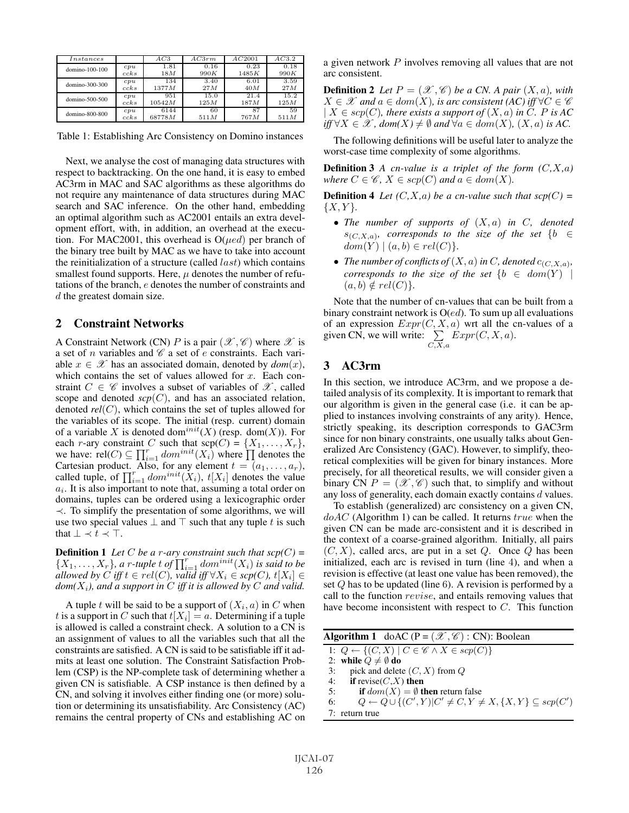| $_{Instances}$ |      | AC3    | AC3rm | AC2001 | AC3.2 |
|----------------|------|--------|-------|--------|-------|
| domino-100-100 | cpu  | 1.81   | 0.16  | 0.23   | 0.18  |
|                | ccks | 18M    | 990K  | 1485K  | 990K  |
| domino-300-300 | cpu  | 134    | 3.40  | 6.01   | 3.59  |
|                | ccks | 1377M  | 27M   | 40M    | 27M   |
| domino-500-500 | cpu  | 951    | 15.0  | 21.4   | 15.2  |
|                | ccks | 10542M | 125M  | 187M   | 125M  |
| domino-800-800 | cpu  | 6144   | 60    | 87     | 59    |
|                | ccks | 68778M | 511M  | 767M   | 511M  |

Table 1: Establishing Arc Consistency on Domino instances

Next, we analyse the cost of managing data structures with respect to backtracking. On the one hand, it is easy to embed AC3rm in MAC and SAC algorithms as these algorithms do not require any maintenance of data structures during MAC search and SAC inference. On the other hand, embedding an optimal algorithm such as AC2001 entails an extra development effort, with, in addition, an overhead at the execution. For MAC2001, this overhead is  $O(\mu e d)$  per branch of the binary tree built by MAC as we have to take into account the reinitialization of a structure (called  $last$ ) which contains smallest found supports. Here,  $\mu$  denotes the number of refutations of the branch, e denotes the number of constraints and d the greatest domain size.

### 2 Constraint Networks

A Constraint Network (CN) P is a pair  $(\mathscr{X}, \mathscr{C})$  where  $\mathscr{X}$  is a set of n variables and  $\mathscr C$  a set of e constraints. Each variable  $x \in \mathcal{X}$  has an associated domain, denoted by  $dom(x)$ , which contains the set of values allowed for  $x$ . Each constraint  $C \in \mathscr{C}$  involves a subset of variables of  $\mathscr{X}$ , called scope and denoted  $\text{scp}(C)$ , and has an associated relation, denoted *rel*(C), which contains the set of tuples allowed for the variables of its scope. The initial (resp. current) domain of a variable X is denoted dom<sup>init</sup>(X) (resp. dom(X)). For each r-ary constraint C such that  $\text{sep}(C) = \{X_1, \ldots, X_r\},\$ we have: rel $(C) \subseteq \prod_{i=1}^r dom^{init}(X_i)$  where  $\prod$  denotes the Cartesian product. Also, for any element  $t = (a_1, \ldots, a_r)$ , called tuple, of  $\prod_{i=1}^r dom^{init}(X_i)$ ,  $t[X_i]$  denotes the value  $a_i$ . It is also important to note that, assuming a total order on domains, tuples can be ordered using a lexicographic order ≺. To simplify the presentation of some algorithms, we will use two special values  $\perp$  and  $\top$  such that any tuple t is such that  $\bot \prec t \prec \top$ .

**Definition 1** Let C be a r-ary constraint such that  $\text{scp}(C)$  =  $\{X_1, \ldots, X_r\}$ , a r-tuple t of  $\prod_{i=1}^r dom^{init}(X_i)$  is said to be *allowed by*  $C$  *iff*  $t \in rel(C)$ *, valid iff*  $\forall X_i \in sep(C)$ *,*  $t[X_i] \in$  $dom(X_i)$ , and a support in C iff it is allowed by C and valid.

A tuple t will be said to be a support of  $(X_i, a)$  in C when t is a support in C such that  $t[X_i] = a$ . Determining if a tuple is allowed is called a constraint check. A solution to a CN is an assignment of values to all the variables such that all the constraints are satisfied. A CN is said to be satisfiable iff it admits at least one solution. The Constraint Satisfaction Problem (CSP) is the NP-complete task of determining whether a given CN is satisfiable. A CSP instance is then defined by a CN, and solving it involves either finding one (or more) solution or determining its unsatisfiability. Arc Consistency (AC) remains the central property of CNs and establishing AC on a given network P involves removing all values that are not arc consistent.

**Definition 2** Let  $P = (\mathcal{X}, \mathcal{C})$  be a CN. A pair  $(X, a)$ , with  $X \in \mathscr{X}$  and  $a \in dom(X)$ , is arc consistent  $(AC)$  iff  $\forall C \in \mathscr{C}$  $| X \in \text{scp}(C)$ *, there exists a support of*  $(X, a)$  *in* C*.* P *is* AC *iff* ∀*X*  $\in \mathcal{X}$ *, dom*(*X*)  $\neq \emptyset$  *and* ∀*a*  $\in$  *dom*(*X*)*,* (*X, a*) *is AC.* 

The following definitions will be useful later to analyze the worst-case time complexity of some algorithms.

**Definition 3** *A* cn-value is a triplet of the form  $(C, X, a)$ *where*  $C \in \mathcal{C}$ ,  $X \in \text{scp}(C)$  *and*  $a \in \text{dom}(X)$ *.* 

**Definition 4** *Let*  $(C, X, a)$  *be a cn-value such that scp* $(C)$  =  ${X, Y}.$ 

- *The number of supports of* (X, a) *in* C*, denoted*  $s_{(C,X,a)}$ *, corresponds to the size of the set* {b  $\in$  $dom(Y) | (a, b) \in rel(C)$ }.
- *The number of conflicts of*  $(X, a)$  *in C, denoted*  $c_{(C, X, a)}$ *, corresponds to the size of the set*  ${b \in dom(Y) \mid}$  $(a, b) \notin rel(C)$ }.

Note that the number of cn-values that can be built from a binary constraint network is  $O(ed)$ . To sum up all evaluations of an expression  $Expr(C, X, a)$  wrt all the cn-values of a given CN, we will write:  $\sum$  $_{C,X,a}$  $Expr(C, X, a)$ .

## 3 AC3rm

In this section, we introduce AC3rm, and we propose a detailed analysis of its complexity. It is important to remark that our algorithm is given in the general case (i.e. it can be applied to instances involving constraints of any arity). Hence, strictly speaking, its description corresponds to GAC3rm since for non binary constraints, one usually talks about Generalized Arc Consistency (GAC). However, to simplify, theoretical complexities will be given for binary instances. More precisely, for all theoretical results, we will consider given a binary CN  $P = (\mathcal{X}, \mathcal{C})$  such that, to simplify and without any loss of generality, each domain exactly contains d values.

To establish (generalized) arc consistency on a given CN,  $doAC$  (Algorithm 1) can be called. It returns  $true$  when the given CN can be made arc-consistent and it is described in the context of a coarse-grained algorithm. Initially, all pairs  $(C, X)$ , called arcs, are put in a set Q. Once Q has been initialized, each arc is revised in turn (line 4), and when a revision is effective (at least one value has been removed), the set Q has to be updated (line 6). A revision is performed by a call to the function revise, and entails removing values that have become inconsistent with respect to C. This function

| <b>Algorithm 1</b> doAC (P = $(\mathcal{X}, \mathcal{C})$ : CN): Boolean                        |
|-------------------------------------------------------------------------------------------------|
| 1: $Q \leftarrow \{(C, X)   C \in \mathscr{C} \wedge X \in \mathop{scp}(C)\}\$                  |
| 2: while $Q \neq \emptyset$ do                                                                  |
| pick and delete $(C, X)$ from $Q$<br>3:                                                         |
| if revise( $C, X$ ) then<br>4:                                                                  |
| if $dom(X) = \emptyset$ then return false<br>5:                                                 |
| $Q \leftarrow Q \cup \{(C', Y)  C' \neq C, Y \neq X, \{X, Y\} \subseteq \text{scp}(C')\}$<br>6: |
| $7:$ return true                                                                                |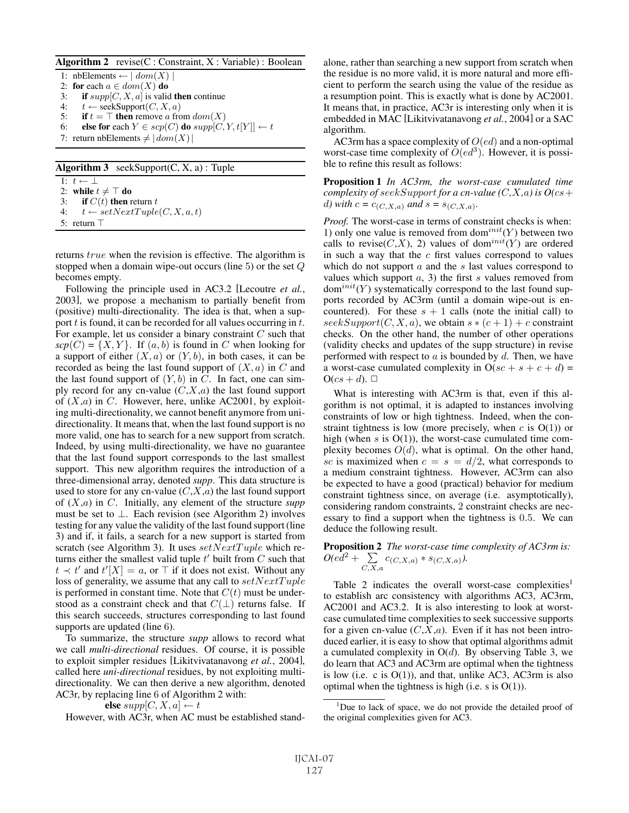| Algorithm 2 revise(C : Constraint, X : Variable) : Boolean |  |  |  |  |  |
|------------------------------------------------------------|--|--|--|--|--|
|------------------------------------------------------------|--|--|--|--|--|

1: nbElements ←  $\mid dom(X) \mid$ 2: for each  $a \in dom(X)$  do 3: if  $supp[C, X, a]$  is valid then continue 4:  $t \leftarrow \text{seekSupport}(C, X, a)$ <br>5: **if**  $t = \top$  **then** remove a from if  $t = \top$  then remove a from  $dom(X)$ 6: else for each  $Y \in \text{scp}(C)$  do  $\text{supp}[C, Y, t[Y]] \leftarrow t$ 7: return nbElements  $\neq |dom(X)|$ Algorithm  $3$  seekSupport $(C, X, a)$ : Tuple 1:  $t \leftarrow \perp$ 

2: while  $t \neq \top$  do 3: if  $C(t)$  then return t 4:  $t \leftarrow setNextTuple(C, X, a, t)$ 

5: return 

returns true when the revision is effective. The algorithm is stopped when a domain wipe-out occurs (line 5) or the set Q becomes empty.

Following the principle used in AC3.2 [Lecoutre *et al.*, 2003], we propose a mechanism to partially benefit from (positive) multi-directionality. The idea is that, when a support  $t$  is found, it can be recorded for all values occurring in  $t$ . For example, let us consider a binary constraint  $C$  such that  $\textit{scp}(C) = \{X, Y\}$ . If  $(a, b)$  is found in C when looking for a support of either  $(X, a)$  or  $(Y, b)$ , in both cases, it can be recorded as being the last found support of  $(X, a)$  in C and the last found support of  $(Y, b)$  in C. In fact, one can simply record for any cn-value  $(C, X, a)$  the last found support of  $(X,a)$  in C. However, here, unlike AC2001, by exploiting multi-directionality, we cannot benefit anymore from unidirectionality. It means that, when the last found support is no more valid, one has to search for a new support from scratch. Indeed, by using multi-directionality, we have no guarantee that the last found support corresponds to the last smallest support. This new algorithm requires the introduction of a three-dimensional array, denoted *supp*. This data structure is used to store for any cn-value  $(C, X, a)$  the last found support of (X,a) in C. Initially, any element of the structure *supp* must be set to  $\perp$ . Each revision (see Algorithm 2) involves testing for any value the validity of the last found support (line 3) and if, it fails, a search for a new support is started from scratch (see Algorithm 3). It uses  $setNextTuple$  which returns either the smallest valid tuple  $t'$  built from  $C$  such that  $t \prec t'$  and  $t'[X] = a$ , or  $\top$  if it does not exist. Without any loss of generality, we assume that any call to  $setNextTuple$ is performed in constant time. Note that  $C(t)$  must be understood as a constraint check and that  $C(\perp)$  returns false. If this search succeeds, structures corresponding to last found supports are updated (line 6).

To summarize, the structure *supp* allows to record what we call *multi-directional* residues. Of course, it is possible to exploit simpler residues [Likitvivatanavong *et al.*, 2004], called here *uni-directional* residues, by not exploiting multidirectionality. We can then derive a new algorithm, denoted AC3r, by replacing line 6 of Algorithm 2 with:

else  $supp[C, X, a] \leftarrow t$ 

However, with AC3r, when AC must be established stand-

alone, rather than searching a new support from scratch when the residue is no more valid, it is more natural and more efficient to perform the search using the value of the residue as a resumption point. This is exactly what is done by AC2001. It means that, in practice, AC3r is interesting only when it is embedded in MAC [Likitvivatanavong *et al.*, 2004] or a SAC algorithm.

AC3rm has a space complexity of  $O(ed)$  and a non-optimal worst-case time complexity of  $O(ed^3)$ . However, it is possible to refine this result as follows:

Proposition 1 *In AC3rm, the worst-case cumulated time complexity of seekSupport for a cn-value*  $(C, X, a)$  *is*  $O(cs +$ *d)* with  $c = c_{(C, X, a)}$  *and*  $s = s_{(C, X, a)}$ *.* 

*Proof.* The worst-case in terms of constraint checks is when: 1) only one value is removed from dom<sup>init</sup>(Y) between two calls to revise( $C, X$ ), 2) values of dom<sup>init</sup>( $Y$ ) are ordered in such a way that the  $c$  first values correspond to values which do not support  $a$  and the  $s$  last values correspond to values which support  $a$ , 3) the first s values removed from  $dom<sup>init</sup>(Y)$  systematically correspond to the last found supports recorded by AC3rm (until a domain wipe-out is encountered). For these  $s + 1$  calls (note the initial call) to  $seekSupport(C, X, a)$ , we obtain  $s*(c+1) + c$  constraint checks. On the other hand, the number of other operations (validity checks and updates of the supp structure) in revise performed with respect to  $a$  is bounded by  $d$ . Then, we have a worst-case cumulated complexity in  $O(sc + s + c + d)$  =  $O(cs + d)$ .  $\Box$ 

What is interesting with AC3rm is that, even if this algorithm is not optimal, it is adapted to instances involving constraints of low or high tightness. Indeed, when the constraint tightness is low (more precisely, when  $c$  is  $O(1)$ ) or high (when  $s$  is  $O(1)$ ), the worst-case cumulated time complexity becomes  $O(d)$ , what is optimal. On the other hand, sc is maximized when  $c = s = d/2$ , what corresponds to a medium constraint tightness. However, AC3rm can also be expected to have a good (practical) behavior for medium constraint tightness since, on average (i.e. asymptotically), considering random constraints, 2 constraint checks are necessary to find a support when the tightness is 0.5. We can deduce the following result.

Proposition 2 *The worst-case time complexity of AC3rm is:*  $O(e\overline{d^2} + \sum$  $\sum_{C, X, a} c_{(C, X, a)} * s_{(C, X, a)}$ .

Table 2 indicates the overall worst-case complexities<sup>1</sup> to establish arc consistency with algorithms AC3, AC3rm, AC2001 and AC3.2. It is also interesting to look at worstcase cumulated time complexities to seek successive supports for a given cn-value  $(C, X, a)$ . Even if it has not been introduced earlier, it is easy to show that optimal algorithms admit a cumulated complexity in  $O(d)$ . By observing Table 3, we do learn that AC3 and AC3rm are optimal when the tightness is low (i.e. c is  $O(1)$ ), and that, unlike AC3, AC3rm is also optimal when the tightness is high (i.e. s is  $O(1)$ ).

<sup>&</sup>lt;sup>1</sup>Due to lack of space, we do not provide the detailed proof of the original complexities given for AC3.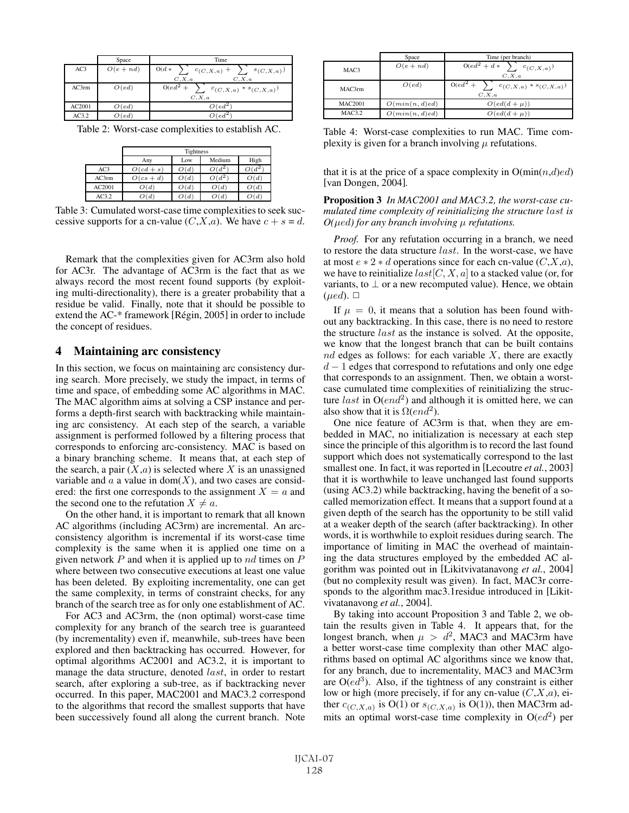|        | Space       | Time                                            |
|--------|-------------|-------------------------------------------------|
| AC3    | $O(e + nd)$ | $O(d *$<br>$c_{(C,X,a)} + \sum_{s \in C, X,a)}$ |
|        |             | C, X, a<br>C, X, a                              |
| AC3rm  | O(ed)       | $O(ed^2 + )$<br>$c_{(C, X, a)} * s_{(C, X, a)}$ |
|        |             | C, X, a                                         |
| AC2001 | O(ed)       | $O(ed^2)$                                       |
| AC3.2  | O(ed)       | $O(ed^2)$                                       |

Table 2: Worst-case complexities to establish AC.

|        | Tightness                    |      |      |      |  |  |  |
|--------|------------------------------|------|------|------|--|--|--|
|        | Medium<br>High<br>Low<br>Any |      |      |      |  |  |  |
| AC3    | $O(cd + s)$                  | O(d) |      |      |  |  |  |
| AC3rm  | $O(cs + d)$                  | O(d) |      | O(d) |  |  |  |
| AC2001 | O(d)                         | O(d) | O(d) | O(d) |  |  |  |
| AC3.2  | O(d)                         | (d)  | O(d) | O(d  |  |  |  |

Table 3: Cumulated worst-case time complexities to seek successive supports for a cn-value  $(C, X, a)$ . We have  $c + s = d$ .

Remark that the complexities given for AC3rm also hold for AC3r. The advantage of AC3rm is the fact that as we always record the most recent found supports (by exploiting multi-directionality), there is a greater probability that a residue be valid. Finally, note that it should be possible to extend the AC-\* framework [Régin, 2005] in order to include the concept of residues.

#### 4 Maintaining arc consistency

In this section, we focus on maintaining arc consistency during search. More precisely, we study the impact, in terms of time and space, of embedding some AC algorithms in MAC. The MAC algorithm aims at solving a CSP instance and performs a depth-first search with backtracking while maintaining arc consistency. At each step of the search, a variable assignment is performed followed by a filtering process that corresponds to enforcing arc-consistency. MAC is based on a binary branching scheme. It means that, at each step of the search, a pair  $(X,a)$  is selected where X is an unassigned variable and  $a$  a value in dom $(X)$ , and two cases are considered: the first one corresponds to the assignment  $X = a$  and the second one to the refutation  $X \neq a$ .

On the other hand, it is important to remark that all known AC algorithms (including AC3rm) are incremental. An arcconsistency algorithm is incremental if its worst-case time complexity is the same when it is applied one time on a given network  $P$  and when it is applied up to  $nd$  times on  $P$ where between two consecutive executions at least one value has been deleted. By exploiting incrementality, one can get the same complexity, in terms of constraint checks, for any branch of the search tree as for only one establishment of AC.

For AC3 and AC3rm, the (non optimal) worst-case time complexity for any branch of the search tree is guaranteed (by incrementality) even if, meanwhile, sub-trees have been explored and then backtracking has occurred. However, for optimal algorithms AC2001 and AC3.2, it is important to manage the data structure, denoted *last*, in order to restart search, after exploring a sub-tree, as if backtracking never occurred. In this paper, MAC2001 and MAC3.2 correspond to the algorithms that record the smallest supports that have been successively found all along the current branch. Note

|                | Space          | Time (per branch)                                          |
|----------------|----------------|------------------------------------------------------------|
| MAC3           | $O(e + nd)$    | $0(ed^2 + d*)$<br>$c_{(C, X, a)}$<br>C, X, a               |
| MAC3rm         | O(ed)          | $O(ed^2 + )$<br>$c_{(C, X, a)} * s_{(C, X, a)}$<br>C, X, a |
| <b>MAC2001</b> | O(min(n, d)ed) | $O(ed(d + \mu))$                                           |
| MAC3.2         | O(min(n, d)ed) | $O(ed(d + \mu))$                                           |

Table 4: Worst-case complexities to run MAC. Time complexity is given for a branch involving  $\mu$  refutations.

that it is at the price of a space complexity in  $O(\min(n,d)ed)$ [van Dongen, 2004].

Proposition 3 *In MAC2001 and MAC3.2, the worst-case cumulated time complexity of reinitializing the structure* last *is O(*μed*) for any branch involving* μ *refutations.*

*Proof.* For any refutation occurring in a branch, we need to restore the data structure last. In the worst-case, we have at most  $e * 2 * d$  operations since for each cn-value  $(C, X, a)$ , we have to reinitialize  $last[C, X, a]$  to a stacked value (or, for variants, to  $\perp$  or a new recomputed value). Hence, we obtain  $(\mu e d)$ .  $\Box$ 

If  $\mu = 0$ , it means that a solution has been found without any backtracking. In this case, there is no need to restore the structure last as the instance is solved. At the opposite, we know that the longest branch that can be built contains  $nd$  edges as follows: for each variable  $X$ , there are exactly  $d-1$  edges that correspond to refutations and only one edge that corresponds to an assignment. Then, we obtain a worstcase cumulated time complexities of reinitializing the structure last in  $O(end^2)$  and although it is omitted here, we can also show that it is  $\Omega(end^2)$ .

One nice feature of AC3rm is that, when they are embedded in MAC, no initialization is necessary at each step since the principle of this algorithm is to record the last found support which does not systematically correspond to the last smallest one. In fact, it was reported in [Lecoutre *et al.*, 2003] that it is worthwhile to leave unchanged last found supports (using AC3.2) while backtracking, having the benefit of a socalled memorization effect. It means that a support found at a given depth of the search has the opportunity to be still valid at a weaker depth of the search (after backtracking). In other words, it is worthwhile to exploit residues during search. The importance of limiting in MAC the overhead of maintaining the data structures employed by the embedded AC algorithm was pointed out in [Likitvivatanavong *et al.*, 2004] (but no complexity result was given). In fact, MAC3r corresponds to the algorithm mac3.1residue introduced in [Likitvivatanavong *et al.*, 2004].

By taking into account Proposition 3 and Table 2, we obtain the results given in Table 4. It appears that, for the longest branch, when  $\mu > d^2$ , MAC3 and MAC3rm have a better worst-case time complexity than other MAC algorithms based on optimal AC algorithms since we know that, for any branch, due to incrementality, MAC3 and MAC3rm are  $O(ed^3)$ . Also, if the tightness of any constraint is either low or high (more precisely, if for any cn-value  $(C, X, a)$ , either  $c_{(C,X,a)}$  is O(1) or  $s_{(C,X,a)}$  is O(1)), then MAC3rm admits an optimal worst-case time complexity in  $O(ed^2)$  per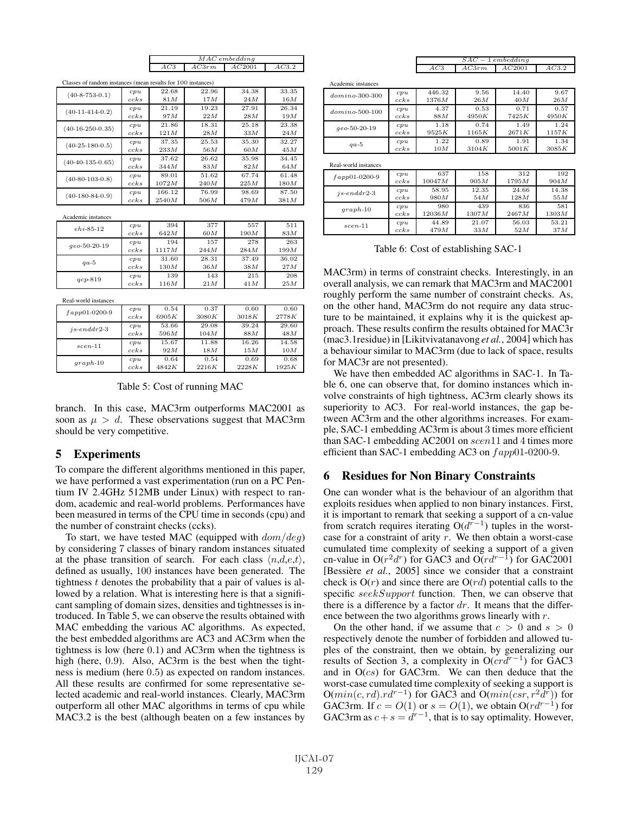| $MAC$ embedding                |            |        |  |  |  |  |
|--------------------------------|------------|--------|--|--|--|--|
| $\Delta$ $\Gamma$ <sup>3</sup> | AC3<br>3rm | AC2001 |  |  |  |  |
|                                |            |        |  |  |  |  |

| Classes of random instances (mean results for 100 instances) |          |        |       |       |       |  |  |
|--------------------------------------------------------------|----------|--------|-------|-------|-------|--|--|
| $(40-8-753-0.1)$                                             | cpu      | 22.68  | 22.96 | 34.38 | 33.35 |  |  |
|                                                              | $cc$ k s | 81 M   | 17M   | 24M   | 16M   |  |  |
| $(40-11-414-0.2)$                                            | cpu      | 21.19  | 19.23 | 27.91 | 26.34 |  |  |
|                                                              | $cc$ ks  | 97 M   | 22M   | 28M   | 19M   |  |  |
| $(40-16-250-0.35)$                                           | cpu      | 21.86  | 18.31 | 25.18 | 23.38 |  |  |
|                                                              | $cc$ k s | 121M   | 28M   | 33M   | 24M   |  |  |
| $(40-25-180-0.5)$                                            | cpu      | 37.35  | 25.53 | 35.30 | 32.27 |  |  |
|                                                              | $cc$ k s | 233M   | 56M   | 60M   | 45M   |  |  |
| $(40-40-135-0.65)$                                           | cpu      | 37.62  | 26.62 | 35.98 | 34.45 |  |  |
|                                                              | $cc$ k s | 344M   | 83M   | 82M   | 64M   |  |  |
| $(40-80-103-0.8)$                                            | cpu      | 89.01  | 51.62 | 67.74 | 61.48 |  |  |
|                                                              | $cc$ k s | 1072M  | 240M  | 225M  | 180M  |  |  |
| $(40-180-84-0.9)$                                            | cpu      | 166.12 | 76.99 | 98.69 | 87.50 |  |  |
|                                                              | $cc$ k s | 2540M  | 506M  | 479M  | 381M  |  |  |

Academic instance

| $ehi-85-12$    | cpu  | 394   | 377   | 557   | 511   |
|----------------|------|-------|-------|-------|-------|
|                | ccks | 642M  | 60M   | 190M  | 83M   |
| $qeo-50-20-19$ | cpu  | 194   | 157   | 278   | 263   |
|                | ccks | 1117M | 244M  | 284M  | 199M  |
| $qa-5$         | cpu  | 31.60 | 28.31 | 37.49 | 36.02 |
|                | ccks | 130M  | 36M   | 38M   | 27M   |
| $qcp-819$      | cpu  | 139   | 143   | 215   | 208   |
|                | ccks | 116M  | 21M   | 41M   | 25M   |

Real-world instances

| $fapp01-0200-9$ | cpu     | 0.54  | 0.37  | 0.60  | 0.60  |
|-----------------|---------|-------|-------|-------|-------|
|                 | ccks    | 6905K | 3080K | 3018K | 2778K |
| $is-enddr2-3$   | cpu     | 53.66 | 29.08 | 39.24 | 29.60 |
|                 | $cc$ ks | 596M  | 104M  | 88M   | 48M   |
| $scen-11$       | cpu     | 15.67 | 11.88 | 16.26 | 14.58 |
|                 | ccks    | 92M   | 18M   | 15M   | 10M   |
| $graph-10$      | cpu     | 0.64  | 0.54  | 0.69  | 0.68  |
|                 | ccks    | 4842K | 2216K | 2228K | 1925K |

Table 5: Cost of running MAC

branch. In this case, MAC3rm outperforms MAC2001 as soon as  $\mu > d$ . These observations suggest that MAC3rm should be very competitive.

## 5 Experiments

To compare the different algorithms mentioned in this paper, we have performed a vast experimentation (run on a PC Pentium IV 2.4GHz 512MB under Linux) with respect to random, academic and real-world problems. Performances have been measured in terms of the CPU time in seconds (cpu) and the number of constraint checks (ccks).

To start, we have tested MAC (equipped with  $dom/deg$ ) by considering 7 classes of binary random instances situated at the phase transition of search. For each class  $\langle n, d, e, t \rangle$ , defined as usually, 100 instances have been generated. The tightness  $t$  denotes the probability that a pair of values is allowed by a relation. What is interesting here is that a significant sampling of domain sizes, densities and tightnesses is introduced. In Table 5, we can observe the results obtained with MAC embedding the various AC algorithms. As expected, the best embedded algorithms are AC3 and AC3rm when the tightness is low (here 0.1) and AC3rm when the tightness is high (here, 0.9). Also, AC3rm is the best when the tightness is medium (here 0.5) as expected on random instances. All these results are confirmed for some representative selected academic and real-world instances. Clearly, MAC3rm outperform all other MAC algorithms in terms of cpu while MAC3.2 is the best (although beaten on a few instances by

|            | $SAC-1$ embedding |             |
|------------|-------------------|-------------|
| $_{AC3rm}$ | AC2001            | $1 \cap 22$ |

| Academic instances   |      |        |       |         |       |
|----------------------|------|--------|-------|---------|-------|
| $domino-300-300$     | cpu  | 446.32 | 9.56  | 14.40   | 9.67  |
|                      | ccks | 1376M  | 26M   | 40M     | 26M   |
| $domino-500-100$     | cpu  | 4.37   | 0.53  | 0.71    | 0.57  |
|                      | ccks | 88M    | 4950K | 7425K   | 4950K |
| $qeo-50-20-19$       | cpu  | 1.18   | 0.74  | 1.49    | 1.24  |
|                      | ccks | 9525K  | 1165K | 2671K   | 1157K |
| $qa-5$               | cpu  | 1.22   | 0.89  | 1.91    | 1.34  |
|                      | ccks | 10M    | 3104K | 5001K   | 3085K |
|                      |      |        |       |         |       |
| Real-world instances |      |        |       |         |       |
| $fapp01-0200-9$      | cpu  | 637    | 158   | 312     | 192   |
|                      | ccks | 10047M | 905M  | 1795M   | 904M  |
|                      |      |        | .     | - - - - | .     |

| $fapp01-0200-9$ | ccks | 10047M | 905M  | 1795M | 904M  |
|-----------------|------|--------|-------|-------|-------|
| $is-enddr2-3$   | cpu  | 58.95  | 12.35 | 24.66 | 14.38 |
|                 | ccks | 980M   | 54M   | 128M  | 55M   |
| $graph-10$      | cpu  | 980    | 439   | 836   | 581   |
|                 | ccks | 12036M | 1307M | 2467M | 1303M |
| $scen-11$       | cpu  | 44.89  | 21.07 | 56.03 | 53.21 |
|                 | ccks | 479M   | 33M   | 52M   | 37 M  |

Table 6: Cost of establishing SAC-1

MAC3rm) in terms of constraint checks. Interestingly, in an overall analysis, we can remark that MAC3rm and MAC2001 roughly perform the same number of constraint checks. As, on the other hand, MAC3rm do not require any data structure to be maintained, it explains why it is the quickest approach. These results confirm the results obtained for MAC3r (mac3.1residue) in [Likitvivatanavong *et al.*, 2004] which has a behaviour similar to MAC3rm (due to lack of space, results for MAC3r are not presented).

We have then embedded AC algorithms in SAC-1. In Table 6, one can observe that, for domino instances which involve constraints of high tightness, AC3rm clearly shows its superiority to AC3. For real-world instances, the gap between AC3rm and the other algorithms increases. For example, SAC-1 embedding AC3rm is about 3 times more efficient than SAC-1 embedding AC2001 on scen11 and 4 times more efficient than SAC-1 embedding AC3 on  $fapp01-0200-9$ .

## 6 Residues for Non Binary Constraints

One can wonder what is the behaviour of an algorithm that exploits residues when applied to non binary instances. First, it is important to remark that seeking a support of a cn-value from scratch requires iterating  $O(d^{r-1})$  tuples in the worstcase for a constraint of arity  $r$ . We then obtain a worst-case cumulated time complexity of seeking a support of a given cn-value in O( $r^2d^r$ ) for GAC3 and O( $rd^{r-1}$ ) for GAC2001 [Bessière *et al.*, 2005] since we consider that a constraint check is  $O(r)$  and since there are  $O(rd)$  potential calls to the specific seekSupport function. Then, we can observe that there is a difference by a factor  $dr$ . It means that the difference between the two algorithms grows linearly with r.

On the other hand, if we assume that  $c > 0$  and  $s > 0$ respectively denote the number of forbidden and allowed tuples of the constraint, then we obtain, by generalizing our results of Section 3, a complexity in  $O(crd^{r-1})$  for GAC3 and in  $O(cs)$  for GAC3rm. We can then deduce that the worst-case cumulated time complexity of seeking a support is  $O(min(c, rd).rd^{r-1})$  for GAC3 and  $O(min(csr, r^2d^r))$  for GAC3rm. If  $c = O(1)$  or  $s = O(1)$ , we obtain  $O(r d^{r-1})$  for GAC3rm as  $c + s = d^{r-1}$ , that is to say optimality. However,